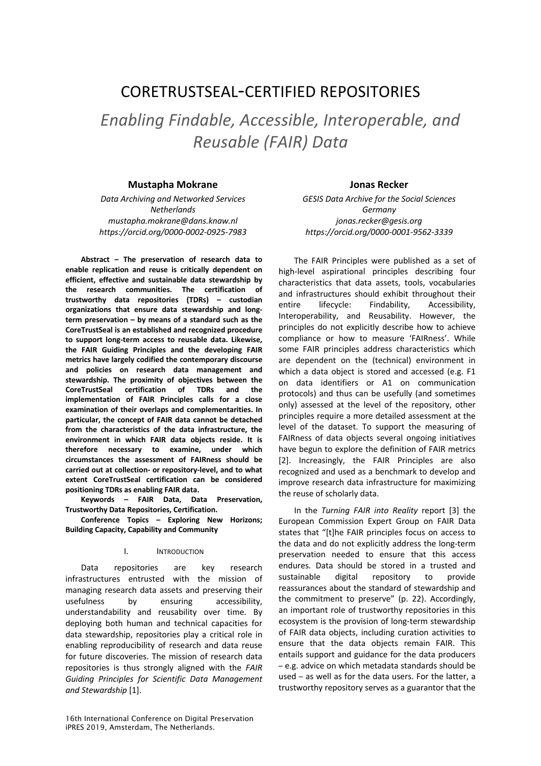# CORETRUSTSEAL-CERTIFIED REPOSITORIES

*Enabling Findable, Accessible, Interoperable, and Reusable (FAIR) Data* 

## **Mustapha Mokrane Jonas Recker**

*Data Archiving and Networked Services Netherlands mustapha.mokrane@dans.knaw.nl https://orcid.org/0000-0002-0925-7983*

**Abstract – The preservation of research data to enable replication and reuse is critically dependent on efficient, effective and sustainable data stewardship by the research communities. The certification of trustworthy data repositories (TDRs) – custodian organizations that ensure data stewardship and longterm preservation – by means of a standard such as the CoreTrustSeal is an established and recognized procedure to support long-term access to reusable data. Likewise, the FAIR Guiding Principles and the developing FAIR metrics have largely codified the contemporary discourse and policies on research data management and stewardship. The proximity of objectives between the CoreTrustSeal certification of TDRs and the implementation of FAIR Principles calls for a close examination of their overlaps and complementarities. In particular, the concept of FAIR data cannot be detached from the characteristics of the data infrastructure, the environment in which FAIR data objects reside. It is therefore necessary to examine, under which circumstances the assessment of FAIRness should be carried out at collection- or repository-level, and to what extent CoreTrustSeal certification can be considered positioning TDRs as enabling FAIR data.** 

**Keywords – FAIR Data, Data Preservation, Trustworthy Data Repositories, Certification.**

**Conference Topics – Exploring New Horizons; Building Capacity, Capability and Community**

#### I. INTRODUCTION

Data repositories are key research infrastructures entrusted with the mission of managing research data assets and preserving their usefulness by ensuring accessibility, understandability and reusability over time. By deploying both human and technical capacities for data stewardship, repositories play a critical role in enabling reproducibility of research and data reuse for future discoveries. The mission of research data repositories is thus strongly aligned with the *FAIR Guiding Principles for Scientific Data Management and Stewardship* [1].

*GESIS Data Archive for the Social Sciences Germany jonas.recker@gesis.org https://orcid.org/0000-0001-9562-3339*

The FAIR Principles were published as a set of high-level aspirational principles describing four characteristics that data assets, tools, vocabularies and infrastructures should exhibit throughout their entire lifecycle: Findability, Accessibility, Interoperability, and Reusability. However, the principles do not explicitly describe how to achieve compliance or how to measure 'FAIRness'. While some FAIR principles address characteristics which are dependent on the (technical) environment in which a data object is stored and accessed (e.g. F1 on data identifiers or A1 on communication protocols) and thus can be usefully (and sometimes only) assessed at the level of the repository, other principles require a more detailed assessment at the level of the dataset. To support the measuring of FAIRness of data objects several ongoing initiatives have begun to explore the definition of FAIR metrics [2]. Increasingly, the FAIR Principles are also recognized and used as a benchmark to develop and improve research data infrastructure for maximizing the reuse of scholarly data.

In the *Turning FAIR into Reality* report [3] the European Commission Expert Group on FAIR Data states that "[t]he FAIR principles focus on access to the data and do not explicitly address the long-term preservation needed to ensure that this access endures. Data should be stored in a trusted and sustainable digital repository to provide reassurances about the standard of stewardship and the commitment to preserve" (p. 22). Accordingly, an important role of trustworthy repositories in this ecosystem is the provision of long-term stewardship of FAIR data objects, including curation activities to ensure that the data objects remain FAIR. This entails support and guidance for the data producers – e.g. advice on which metadata standards should be used – as well as for the data users. For the latter, a trustworthy repository serves as a guarantor that the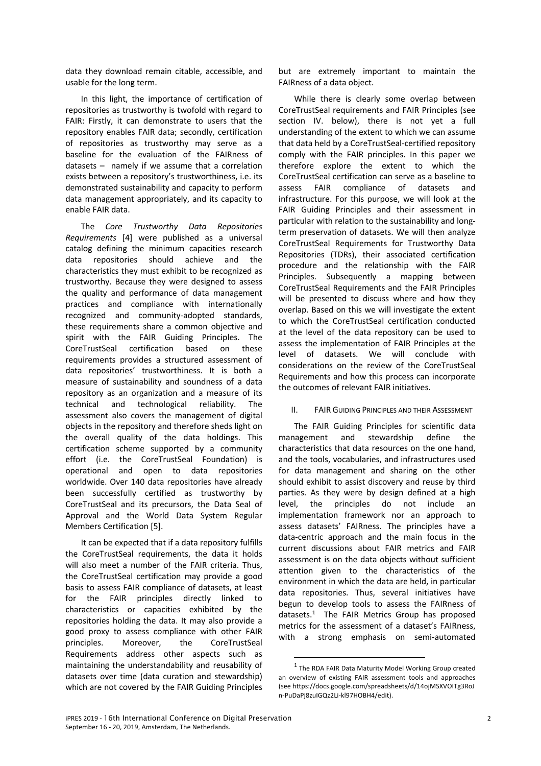data they download remain citable, accessible, and usable for the long term.

In this light, the importance of certification of repositories as trustworthy is twofold with regard to FAIR: Firstly, it can demonstrate to users that the repository enables FAIR data; secondly, certification of repositories as trustworthy may serve as a baseline for the evaluation of the FAIRness of datasets – namely if we assume that a correlation exists between a repository's trustworthiness, i.e. its demonstrated sustainability and capacity to perform data management appropriately, and its capacity to enable FAIR data.

The *Core Trustworthy Data Repositories Requirements* [4] were published as a universal catalog defining the minimum capacities research data repositories should achieve and the characteristics they must exhibit to be recognized as trustworthy. Because they were designed to assess the quality and performance of data management practices and compliance with internationally recognized and community-adopted standards, these requirements share a common objective and spirit with the FAIR Guiding Principles. The CoreTrustSeal certification based on these requirements provides a structured assessment of data repositories' trustworthiness. It is both a measure of sustainability and soundness of a data repository as an organization and a measure of its technical and technological reliability. The assessment also covers the management of digital objects in the repository and therefore sheds light on the overall quality of the data holdings. This certification scheme supported by a community effort (i.e. the CoreTrustSeal Foundation) is operational and open to data repositories worldwide. Over 140 data repositories have already been successfully certified as trustworthy by CoreTrustSeal and its precursors, the Data Seal of Approval and the World Data System Regular Members Certification [5].

It can be expected that if a data repository fulfills the CoreTrustSeal requirements, the data it holds will also meet a number of the FAIR criteria. Thus, the CoreTrustSeal certification may provide a good basis to assess FAIR compliance of datasets, at least for the FAIR principles directly linked to characteristics or capacities exhibited by the repositories holding the data. It may also provide a good proxy to assess compliance with other FAIR principles. Moreover, the CoreTrustSeal Requirements address other aspects such as maintaining the understandability and reusability of datasets over time (data curation and stewardship) which are not covered by the FAIR Guiding Principles

but are extremely important to maintain the FAIRness of a data object.

While there is clearly some overlap between CoreTrustSeal requirements and FAIR Principles (see section IV. below), there is not yet a full understanding of the extent to which we can assume that data held by a CoreTrustSeal-certified repository comply with the FAIR principles. In this paper we therefore explore the extent to which the CoreTrustSeal certification can serve as a baseline to assess FAIR compliance of datasets and infrastructure. For this purpose, we will look at the FAIR Guiding Principles and their assessment in particular with relation to the sustainability and longterm preservation of datasets. We will then analyze CoreTrustSeal Requirements for Trustworthy Data Repositories (TDRs), their associated certification procedure and the relationship with the FAIR Principles. Subsequently a mapping between CoreTrustSeal Requirements and the FAIR Principles will be presented to discuss where and how they overlap. Based on this we will investigate the extent to which the CoreTrustSeal certification conducted at the level of the data repository can be used to assess the implementation of FAIR Principles at the level of datasets. We will conclude with considerations on the review of the CoreTrustSeal Requirements and how this process can incorporate the outcomes of relevant FAIR initiatives.

### II. FAIR GUIDING PRINCIPLES AND THEIR ASSESSMENT

The FAIR Guiding Principles for scientific data management and stewardship define the characteristics that data resources on the one hand, and the tools, vocabularies, and infrastructures used for data management and sharing on the other should exhibit to assist discovery and reuse by third parties. As they were by design defined at a high level, the principles do not include an implementation framework nor an approach to assess datasets' FAIRness. The principles have a data-centric approach and the main focus in the current discussions about FAIR metrics and FAIR assessment is on the data objects without sufficient attention given to the characteristics of the environment in which the data are held, in particular data repositories. Thus, several initiatives have begun to develop tools to assess the FAIRness of datasets.<sup>1</sup> The FAIR Metrics Group has proposed metrics for the assessment of a dataset's FAIRness, with a strong emphasis on semi-automated

 $1$  The RDA FAIR Data Maturity Model Working Group created an overview of existing FAIR assessment tools and approaches (see https://docs.google.com/spreadsheets/d/14ojMSXVOITg3RoJ n-PuDaPj8zuIGQz2Li-kl97HOBH4/edit).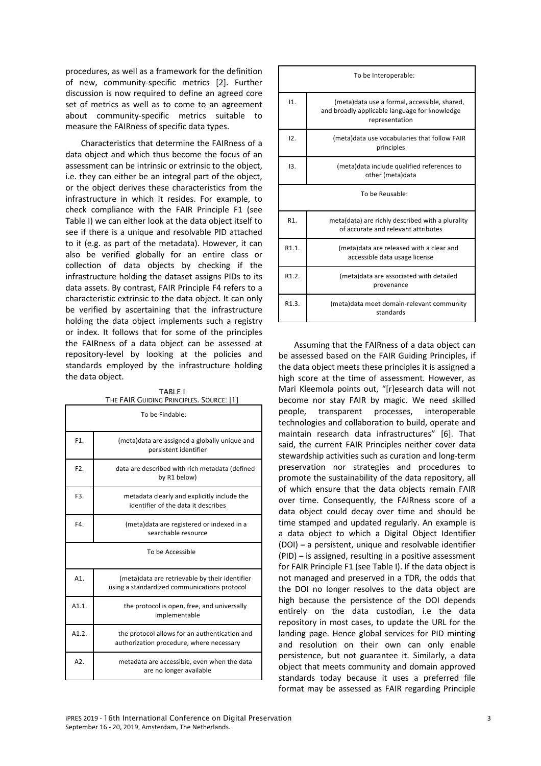procedures, as well as a framework for the definition of new, community-specific metrics [2]. Further discussion is now required to define an agreed core set of metrics as well as to come to an agreement about community-specific metrics suitable to measure the FAIRness of specific data types.

Characteristics that determine the FAIRness of a data object and which thus become the focus of an assessment can be intrinsic or extrinsic to the object, i.e. they can either be an integral part of the object, or the object derives these characteristics from the infrastructure in which it resides. For example, to check compliance with the FAIR Principle F1 (see Table I) we can either look at the data object itself to see if there is a unique and resolvable PID attached to it (e.g. as part of the metadata). However, it can also be verified globally for an entire class or collection of data objects by checking if the infrastructure holding the dataset assigns PIDs to its data assets. By contrast, FAIR Principle F4 refers to a characteristic extrinsic to the data object. It can only be verified by ascertaining that the infrastructure holding the data object implements such a registry or index. It follows that for some of the principles the FAIRness of a data object can be assessed at repository-level by looking at the policies and standards employed by the infrastructure holding the data object.

TABLE I THE FAIR GUIDING PRINCIPLES. SOURCE: [1]

| To be Findable:  |                                                                                                 |  |
|------------------|-------------------------------------------------------------------------------------------------|--|
| F1.              | (meta) data are assigned a globally unique and<br>persistent identifier                         |  |
| F <sub>2</sub> . | data are described with rich metadata (defined<br>by R1 below)                                  |  |
| F3.              | metadata clearly and explicitly include the<br>identifier of the data it describes              |  |
| F4.              | (meta) data are registered or indexed in a<br>searchable resource                               |  |
| To be Accessible |                                                                                                 |  |
| A1               | (meta) data are retrievable by their identifier<br>using a standardized communications protocol |  |
| $A1.1$ .         | the protocol is open, free, and universally<br>implementable                                    |  |
| A1.2.            | the protocol allows for an authentication and<br>authorization procedure, where necessary       |  |
| A2.              | metadata are accessible, even when the data<br>are no longer available                          |  |

| To be Interoperable: |                                                                                                                 |  |  |
|----------------------|-----------------------------------------------------------------------------------------------------------------|--|--|
| 11.                  | (meta)data use a formal, accessible, shared,<br>and broadly applicable language for knowledge<br>representation |  |  |
| 12 <sub>1</sub>      | (meta) data use vocabularies that follow FAIR<br>principles                                                     |  |  |
| 13.                  | (meta) data include qualified references to<br>other (meta)data                                                 |  |  |
| To be Reusable:      |                                                                                                                 |  |  |
| $R1$ .               | meta(data) are richly described with a plurality<br>of accurate and relevant attributes                         |  |  |
| R1.1.                | (meta) data are released with a clear and<br>accessible data usage license                                      |  |  |
| R <sub>1.2</sub>     | (meta)data are associated with detailed<br>provenance                                                           |  |  |
| R1.3.                | (meta) data meet domain-relevant community<br>standards                                                         |  |  |

Assuming that the FAIRness of a data object can be assessed based on the FAIR Guiding Principles, if the data object meets these principles it is assigned a high score at the time of assessment. However, as Mari Kleemola points out, "[r]esearch data will not become nor stay FAIR by magic. We need skilled people, transparent processes, interoperable technologies and collaboration to build, operate and maintain research data infrastructures" [6]. That said, the current FAIR Principles neither cover data stewardship activities such as curation and long-term preservation nor strategies and procedures to promote the sustainability of the data repository, all of which ensure that the data objects remain FAIR over time. Consequently, the FAIRness score of a data object could decay over time and should be time stamped and updated regularly. An example is a data object to which a Digital Object Identifier (DOI) **–** a persistent, unique and resolvable identifier (PID) **–** is assigned, resulting in a positive assessment for FAIR Principle F1 (see Table I). If the data object is not managed and preserved in a TDR, the odds that the DOI no longer resolves to the data object are high because the persistence of the DOI depends entirely on the data custodian, i.e the data repository in most cases, to update the URL for the landing page. Hence global services for PID minting and resolution on their own can only enable persistence, but not guarantee it. Similarly, a data object that meets community and domain approved standards today because it uses a preferred file format may be assessed as FAIR regarding Principle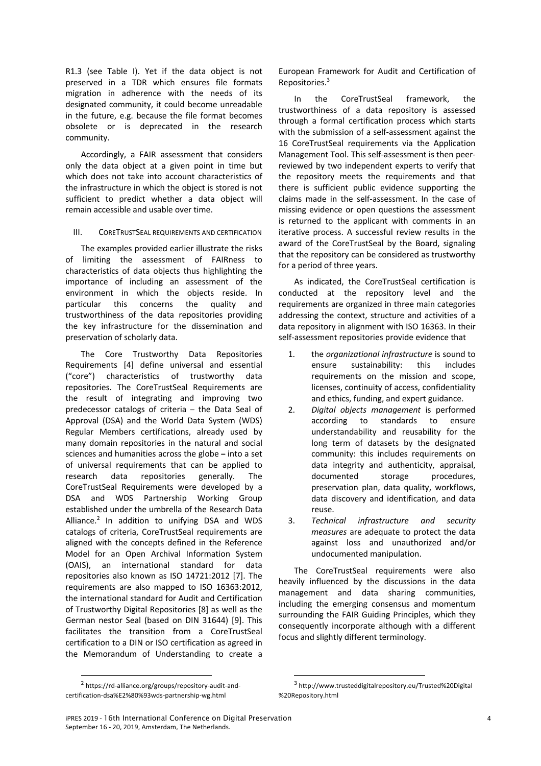R1.3 (see Table I). Yet if the data object is not preserved in a TDR which ensures file formats migration in adherence with the needs of its designated community, it could become unreadable in the future, e.g. because the file format becomes obsolete or is deprecated in the research community.

Accordingly, a FAIR assessment that considers only the data object at a given point in time but which does not take into account characteristics of the infrastructure in which the object is stored is not sufficient to predict whether a data object will remain accessible and usable over time.

#### III. CORETRUSTSEAL REQUIREMENTS AND CERTIFICATION

The examples provided earlier illustrate the risks of limiting the assessment of FAIRness to characteristics of data objects thus highlighting the importance of including an assessment of the environment in which the objects reside. In particular this concerns the quality and trustworthiness of the data repositories providing the key infrastructure for the dissemination and preservation of scholarly data.

The Core Trustworthy Data Repositories Requirements [4] define universal and essential ("core") characteristics of trustworthy data repositories. The CoreTrustSeal Requirements are the result of integrating and improving two predecessor catalogs of criteria – the Data Seal of Approval (DSA) and the World Data System (WDS) Regular Members certifications, already used by many domain repositories in the natural and social sciences and humanities across the globe **–** into a set of universal requirements that can be applied to research data repositories generally. The CoreTrustSeal Requirements were developed by a DSA and WDS Partnership Working Group established under the umbrella of the Research Data Alliance.2 In addition to unifying DSA and WDS catalogs of criteria, CoreTrustSeal requirements are aligned with the concepts defined in the Reference Model for an Open Archival Information System (OAIS), an international standard for data repositories also known as ISO 14721:2012 [7]. The requirements are also mapped to ISO 16363:2012, the international standard for Audit and Certification of Trustworthy Digital Repositories [8] as well as the German nestor Seal (based on DIN 31644) [9]. This facilitates the transition from a CoreTrustSeal certification to a DIN or ISO certification as agreed in the Memorandum of Understanding to create a

 2 https://rd-alliance.org/groups/repository-audit-andcertification-dsa%E2%80%93wds-partnership-wg.html

European Framework for Audit and Certification of Repositories.3

In the CoreTrustSeal framework, the trustworthiness of a data repository is assessed through a formal certification process which starts with the submission of a self-assessment against the 16 CoreTrustSeal requirements via the Application Management Tool. This self-assessment is then peerreviewed by two independent experts to verify that the repository meets the requirements and that there is sufficient public evidence supporting the claims made in the self-assessment. In the case of missing evidence or open questions the assessment is returned to the applicant with comments in an iterative process. A successful review results in the award of the CoreTrustSeal by the Board, signaling that the repository can be considered as trustworthy for a period of three years.

As indicated, the CoreTrustSeal certification is conducted at the repository level and the requirements are organized in three main categories addressing the context, structure and activities of a data repository in alignment with ISO 16363. In their self-assessment repositories provide evidence that

- 1. the *organizational infrastructure* is sound to ensure sustainability: this includes requirements on the mission and scope, licenses, continuity of access, confidentiality and ethics, funding, and expert guidance.
- 2. *Digital objects management* is performed according to standards to ensure understandability and reusability for the long term of datasets by the designated community: this includes requirements on data integrity and authenticity, appraisal, documented storage procedures, preservation plan, data quality, workflows, data discovery and identification, and data reuse.
- 3. *Technical infrastructure and security measures* are adequate to protect the data against loss and unauthorized and/or undocumented manipulation.

The CoreTrustSeal requirements were also heavily influenced by the discussions in the data management and data sharing communities, including the emerging consensus and momentum surrounding the FAIR Guiding Principles, which they consequently incorporate although with a different focus and slightly different terminology.

 <sup>3</sup> http://www.trusteddigitalrepository.eu/Trusted%20Digital %20Repository.html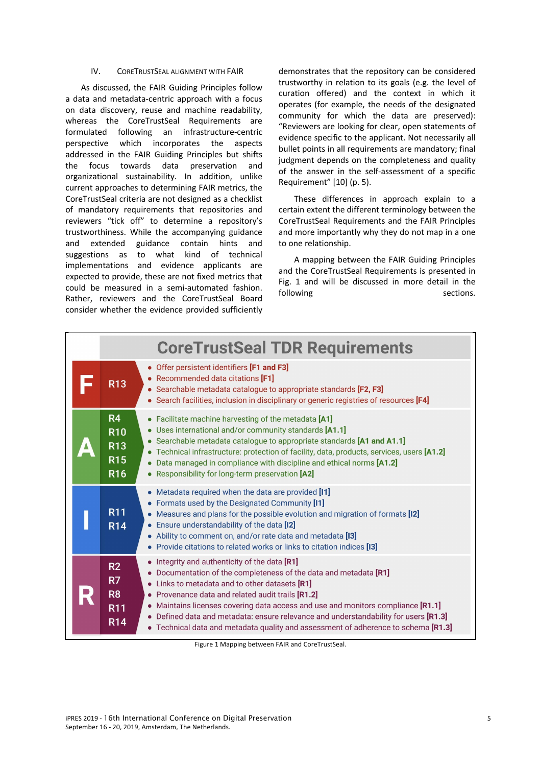#### IV. CORETRUSTSEAL ALIGNMENT WITH FAIR

As discussed, the FAIR Guiding Principles follow a data and metadata-centric approach with a focus on data discovery, reuse and machine readability, whereas the CoreTrustSeal Requirements are formulated following an infrastructure-centric perspective which incorporates the aspects addressed in the FAIR Guiding Principles but shifts the focus towards data preservation and organizational sustainability. In addition, unlike current approaches to determining FAIR metrics, the CoreTrustSeal criteria are not designed as a checklist of mandatory requirements that repositories and reviewers "tick off" to determine a repository's trustworthiness. While the accompanying guidance and extended guidance contain hints and suggestions as to what kind of technical implementations and evidence applicants are expected to provide, these are not fixed metrics that could be measured in a semi-automated fashion. Rather, reviewers and the CoreTrustSeal Board consider whether the evidence provided sufficiently demonstrates that the repository can be considered trustworthy in relation to its goals (e.g. the level of curation offered) and the context in which it operates (for example, the needs of the designated community for which the data are preserved): "Reviewers are looking for clear, open statements of evidence specific to the applicant. Not necessarily all bullet points in all requirements are mandatory; final judgment depends on the completeness and quality of the answer in the self-assessment of a specific Requirement" [10] (p. 5).

These differences in approach explain to a certain extent the different terminology between the CoreTrustSeal Requirements and the FAIR Principles and more importantly why they do not map in a one to one relationship.

A mapping between the FAIR Guiding Principles and the CoreTrustSeal Requirements is presented in Fig. 1 and will be discussed in more detail in the following sections.

| <b>CoreTrustSeal TDR Requirements</b> |                                                                        |                                                                                                                                                                                                                                                                                                                                                                                                                                                                                                      |  |
|---------------------------------------|------------------------------------------------------------------------|------------------------------------------------------------------------------------------------------------------------------------------------------------------------------------------------------------------------------------------------------------------------------------------------------------------------------------------------------------------------------------------------------------------------------------------------------------------------------------------------------|--|
|                                       | <b>R13</b>                                                             | • Offer persistent identifiers [F1 and F3]<br>• Recommended data citations [F1]<br>• Searchable metadata catalogue to appropriate standards [F2, F3]<br>• Search facilities, inclusion in disciplinary or generic registries of resources [F4]                                                                                                                                                                                                                                                       |  |
|                                       | R <sub>4</sub><br><b>R10</b><br><b>R13</b><br><b>R15</b><br><b>R16</b> | • Facilitate machine harvesting of the metadata [A1]<br>• Uses international and/or community standards [A1.1]<br>• Searchable metadata catalogue to appropriate standards [A1 and A1.1]<br>• Technical infrastructure: protection of facility, data, products, services, users [A1.2]<br>• Data managed in compliance with discipline and ethical norms [A1.2]<br>• Responsibility for long-term preservation [A2]                                                                                  |  |
|                                       | <b>R11</b><br><b>R14</b>                                               | • Metadata required when the data are provided [11]<br>• Formats used by the Designated Community [11]<br>Measures and plans for the possible evolution and migration of formats [12]<br>$\bullet$<br>• Ensure understandability of the data [12]<br>• Ability to comment on, and/or rate data and metadata [13]<br>• Provide citations to related works or links to citation indices [13]                                                                                                           |  |
|                                       | R2<br>R7<br>R <sub>8</sub><br><b>R11</b><br><b>R14</b>                 | • Integrity and authenticity of the data [R1]<br>Documentation of the completeness of the data and metadata [R1]<br>Links to metadata and to other datasets [R1]<br>$\bullet$<br>• Provenance data and related audit trails [R1.2]<br>• Maintains licenses covering data access and use and monitors compliance [R1.1]<br>• Defined data and metadata: ensure relevance and understandability for users [R1.3]<br>• Technical data and metadata quality and assessment of adherence to schema [R1.3] |  |

Figure 1 Mapping between FAIR and CoreTrustSeal.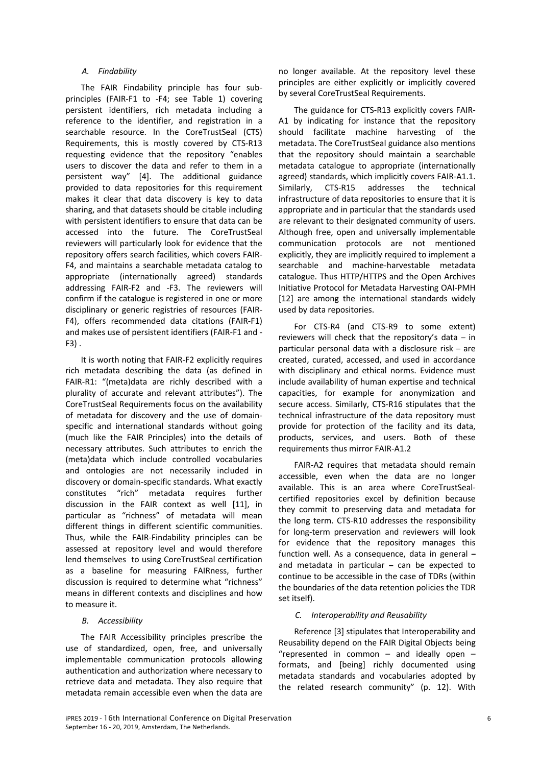#### *A. Findability*

The FAIR Findability principle has four subprinciples (FAIR-F1 to -F4; see Table 1) covering persistent identifiers, rich metadata including a reference to the identifier, and registration in a searchable resource. In the CoreTrustSeal (CTS) Requirements, this is mostly covered by CTS-R13 requesting evidence that the repository "enables users to discover the data and refer to them in a persistent way" [4]. The additional guidance provided to data repositories for this requirement makes it clear that data discovery is key to data sharing, and that datasets should be citable including with persistent identifiers to ensure that data can be accessed into the future. The CoreTrustSeal reviewers will particularly look for evidence that the repository offers search facilities, which covers FAIR-F4, and maintains a searchable metadata catalog to appropriate (internationally agreed) standards addressing FAIR-F2 and -F3. The reviewers will confirm if the catalogue is registered in one or more disciplinary or generic registries of resources (FAIR-F4), offers recommended data citations (FAIR-F1) and makes use of persistent identifiers (FAIR-F1 and - F3) .

It is worth noting that FAIR-F2 explicitly requires rich metadata describing the data (as defined in FAIR-R1: "(meta)data are richly described with a plurality of accurate and relevant attributes"). The CoreTrustSeal Requirements focus on the availability of metadata for discovery and the use of domainspecific and international standards without going (much like the FAIR Principles) into the details of necessary attributes. Such attributes to enrich the (meta)data which include controlled vocabularies and ontologies are not necessarily included in discovery or domain-specific standards. What exactly constitutes "rich" metadata requires further discussion in the FAIR context as well [11], in particular as "richness" of metadata will mean different things in different scientific communities. Thus, while the FAIR-Findability principles can be assessed at repository level and would therefore lend themselves to using CoreTrustSeal certification as a baseline for measuring FAIRness, further discussion is required to determine what "richness" means in different contexts and disciplines and how to measure it.

#### *B. Accessibility*

The FAIR Accessibility principles prescribe the use of standardized, open, free, and universally implementable communication protocols allowing authentication and authorization where necessary to retrieve data and metadata. They also require that metadata remain accessible even when the data are

no longer available. At the repository level these principles are either explicitly or implicitly covered by several CoreTrustSeal Requirements.

The guidance for CTS-R13 explicitly covers FAIR-A1 by indicating for instance that the repository should facilitate machine harvesting of the metadata. The CoreTrustSeal guidance also mentions that the repository should maintain a searchable metadata catalogue to appropriate (internationally agreed) standards, which implicitly covers FAIR-A1.1. Similarly, CTS-R15 addresses the technical infrastructure of data repositories to ensure that it is appropriate and in particular that the standards used are relevant to their designated community of users. Although free, open and universally implementable communication protocols are not mentioned explicitly, they are implicitly required to implement a searchable and machine-harvestable metadata catalogue. Thus HTTP/HTTPS and the Open Archives Initiative Protocol for Metadata Harvesting OAI-PMH [12] are among the international standards widely used by data repositories.

For CTS-R4 (and CTS-R9 to some extent) reviewers will check that the repository's data – in particular personal data with a disclosure risk – are created, curated, accessed, and used in accordance with disciplinary and ethical norms. Evidence must include availability of human expertise and technical capacities, for example for anonymization and secure access. Similarly, CTS-R16 stipulates that the technical infrastructure of the data repository must provide for protection of the facility and its data, products, services, and users. Both of these requirements thus mirror FAIR-A1.2

FAIR-A2 requires that metadata should remain accessible, even when the data are no longer available. This is an area where CoreTrustSealcertified repositories excel by definition because they commit to preserving data and metadata for the long term. CTS-R10 addresses the responsibility for long-term preservation and reviewers will look for evidence that the repository manages this function well. As a consequence, data in general **–** and metadata in particular **–** can be expected to continue to be accessible in the case of TDRs (within the boundaries of the data retention policies the TDR set itself).

### *C. Interoperability and Reusability*

Reference [3] stipulates that Interoperability and Reusability depend on the FAIR Digital Objects being "represented in common  $-$  and ideally open  $$ formats, and [being] richly documented using metadata standards and vocabularies adopted by the related research community" (p. 12). With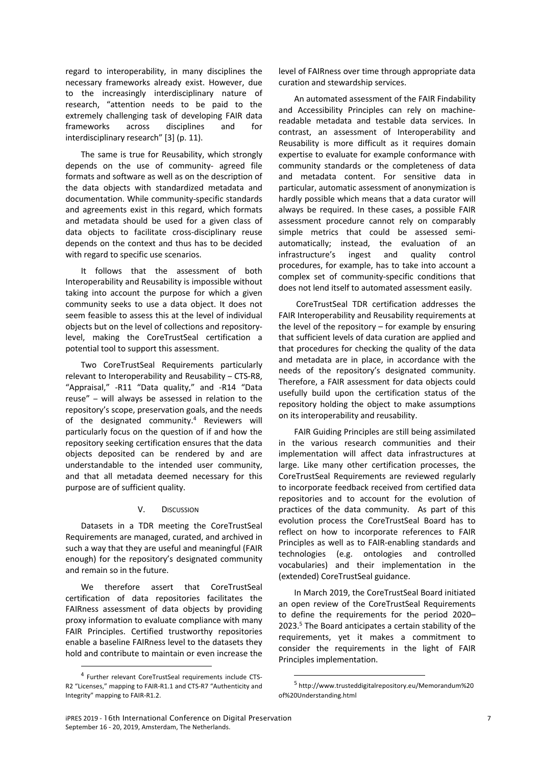regard to interoperability, in many disciplines the necessary frameworks already exist. However, due to the increasingly interdisciplinary nature of research, "attention needs to be paid to the extremely challenging task of developing FAIR data frameworks across disciplines and for interdisciplinary research" [3] (p. 11).

The same is true for Reusability, which strongly depends on the use of community- agreed file formats and software as well as on the description of the data objects with standardized metadata and documentation. While community-specific standards and agreements exist in this regard, which formats and metadata should be used for a given class of data objects to facilitate cross-disciplinary reuse depends on the context and thus has to be decided with regard to specific use scenarios.

It follows that the assessment of both Interoperability and Reusability is impossible without taking into account the purpose for which a given community seeks to use a data object. It does not seem feasible to assess this at the level of individual objects but on the level of collections and repositorylevel, making the CoreTrustSeal certification a potential tool to support this assessment.

Two CoreTrustSeal Requirements particularly relevant to Interoperability and Reusability – CTS-R8, "Appraisal," -R11 "Data quality," and -R14 "Data reuse" – will always be assessed in relation to the repository's scope, preservation goals, and the needs of the designated community.<sup>4</sup> Reviewers will particularly focus on the question of if and how the repository seeking certification ensures that the data objects deposited can be rendered by and are understandable to the intended user community, and that all metadata deemed necessary for this purpose are of sufficient quality.

#### V. DISCUSSION

Datasets in a TDR meeting the CoreTrustSeal Requirements are managed, curated, and archived in such a way that they are useful and meaningful (FAIR enough) for the repository's designated community and remain so in the future.

We therefore assert that CoreTrustSeal certification of data repositories facilitates the FAIRness assessment of data objects by providing proxy information to evaluate compliance with many FAIR Principles. Certified trustworthy repositories enable a baseline FAIRness level to the datasets they hold and contribute to maintain or even increase the

level of FAIRness over time through appropriate data curation and stewardship services.

An automated assessment of the FAIR Findability and Accessibility Principles can rely on machinereadable metadata and testable data services. In contrast, an assessment of Interoperability and Reusability is more difficult as it requires domain expertise to evaluate for example conformance with community standards or the completeness of data and metadata content. For sensitive data in particular, automatic assessment of anonymization is hardly possible which means that a data curator will always be required. In these cases, a possible FAIR assessment procedure cannot rely on comparably simple metrics that could be assessed semiautomatically; instead, the evaluation of an infrastructure's ingest and quality control procedures, for example, has to take into account a complex set of community-specific conditions that does not lend itself to automated assessment easily.

CoreTrustSeal TDR certification addresses the FAIR Interoperability and Reusability requirements at the level of the repository – for example by ensuring that sufficient levels of data curation are applied and that procedures for checking the quality of the data and metadata are in place, in accordance with the needs of the repository's designated community. Therefore, a FAIR assessment for data objects could usefully build upon the certification status of the repository holding the object to make assumptions on its interoperability and reusability.

FAIR Guiding Principles are still being assimilated in the various research communities and their implementation will affect data infrastructures at large. Like many other certification processes, the CoreTrustSeal Requirements are reviewed regularly to incorporate feedback received from certified data repositories and to account for the evolution of practices of the data community. As part of this evolution process the CoreTrustSeal Board has to reflect on how to incorporate references to FAIR Principles as well as to FAIR-enabling standards and technologies (e.g. ontologies and controlled vocabularies) and their implementation in the (extended) CoreTrustSeal guidance.

In March 2019, the CoreTrustSeal Board initiated an open review of the CoreTrustSeal Requirements to define the requirements for the period 2020– 2023.<sup>5</sup> The Board anticipates a certain stability of the requirements, yet it makes a commitment to consider the requirements in the light of FAIR Principles implementation.

 <sup>4</sup> Further relevant CoreTrustSeal requirements include CTS-R2 "Licenses," mapping to FAIR-R1.1 and CTS-R7 "Authenticity and Integrity" mapping to FAIR-R1.2.

 <sup>5</sup> http://www.trusteddigitalrepository.eu/Memorandum%20 of%20Understanding.html